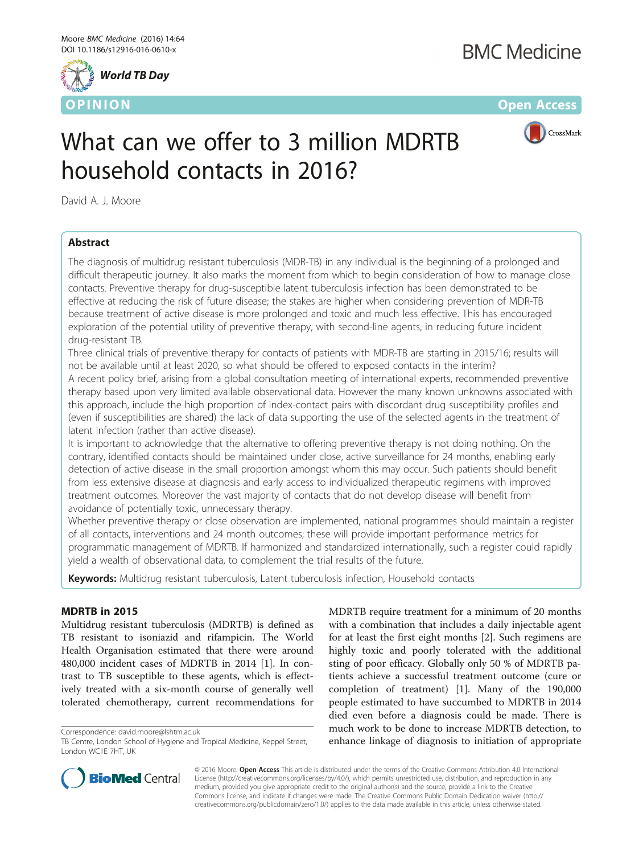



# What can we offer to 3 million MDRTB household contacts in 2016?

David A. J. Moore

# Abstract

The diagnosis of multidrug resistant tuberculosis (MDR-TB) in any individual is the beginning of a prolonged and difficult therapeutic journey. It also marks the moment from which to begin consideration of how to manage close contacts. Preventive therapy for drug-susceptible latent tuberculosis infection has been demonstrated to be effective at reducing the risk of future disease; the stakes are higher when considering prevention of MDR-TB because treatment of active disease is more prolonged and toxic and much less effective. This has encouraged exploration of the potential utility of preventive therapy, with second-line agents, in reducing future incident drug-resistant TB.

Three clinical trials of preventive therapy for contacts of patients with MDR-TB are starting in 2015/16; results will not be available until at least 2020, so what should be offered to exposed contacts in the interim?

A recent policy brief, arising from a global consultation meeting of international experts, recommended preventive therapy based upon very limited available observational data. However the many known unknowns associated with this approach, include the high proportion of index-contact pairs with discordant drug susceptibility profiles and (even if susceptibilities are shared) the lack of data supporting the use of the selected agents in the treatment of latent infection (rather than active disease).

It is important to acknowledge that the alternative to offering preventive therapy is not doing nothing. On the contrary, identified contacts should be maintained under close, active surveillance for 24 months, enabling early detection of active disease in the small proportion amongst whom this may occur. Such patients should benefit from less extensive disease at diagnosis and early access to individualized therapeutic regimens with improved treatment outcomes. Moreover the vast majority of contacts that do not develop disease will benefit from avoidance of potentially toxic, unnecessary therapy.

Whether preventive therapy or close observation are implemented, national programmes should maintain a register of all contacts, interventions and 24 month outcomes; these will provide important performance metrics for programmatic management of MDRTB. If harmonized and standardized internationally, such a register could rapidly yield a wealth of observational data, to complement the trial results of the future.

Keywords: Multidrug resistant tuberculosis, Latent tuberculosis infection, Household contacts

# MDRTB in 2015

Multidrug resistant tuberculosis (MDRTB) is defined as TB resistant to isoniazid and rifampicin. The World Health Organisation estimated that there were around 480,000 incident cases of MDRTB in 2014 [[1\]](#page-4-0). In contrast to TB susceptible to these agents, which is effectively treated with a six-month course of generally well tolerated chemotherapy, current recommendations for

Correspondence: [david.moore@lshtm.ac.uk](mailto:david.moore@lshtm.ac.uk)

MDRTB require treatment for a minimum of 20 months with a combination that includes a daily injectable agent for at least the first eight months [[2\]](#page-4-0). Such regimens are highly toxic and poorly tolerated with the additional sting of poor efficacy. Globally only 50 % of MDRTB patients achieve a successful treatment outcome (cure or completion of treatment) [\[1](#page-4-0)]. Many of the 190,000 people estimated to have succumbed to MDRTB in 2014 died even before a diagnosis could be made. There is much work to be done to increase MDRTB detection, to enhance linkage of diagnosis to initiation of appropriate



© 2016 Moore. Open Access This article is distributed under the terms of the Creative Commons Attribution 4.0 International License ([http://creativecommons.org/licenses/by/4.0/\)](http://creativecommons.org/licenses/by/4.0/), which permits unrestricted use, distribution, and reproduction in any medium, provided you give appropriate credit to the original author(s) and the source, provide a link to the Creative Commons license, and indicate if changes were made. The Creative Commons Public Domain Dedication waiver ([http://](http://creativecommons.org/publicdomain/zero/1.0/) [creativecommons.org/publicdomain/zero/1.0/\)](http://creativecommons.org/publicdomain/zero/1.0/) applies to the data made available in this article, unless otherwise stated.

TB Centre, London School of Hygiene and Tropical Medicine, Keppel Street, London WC1E 7HT, UK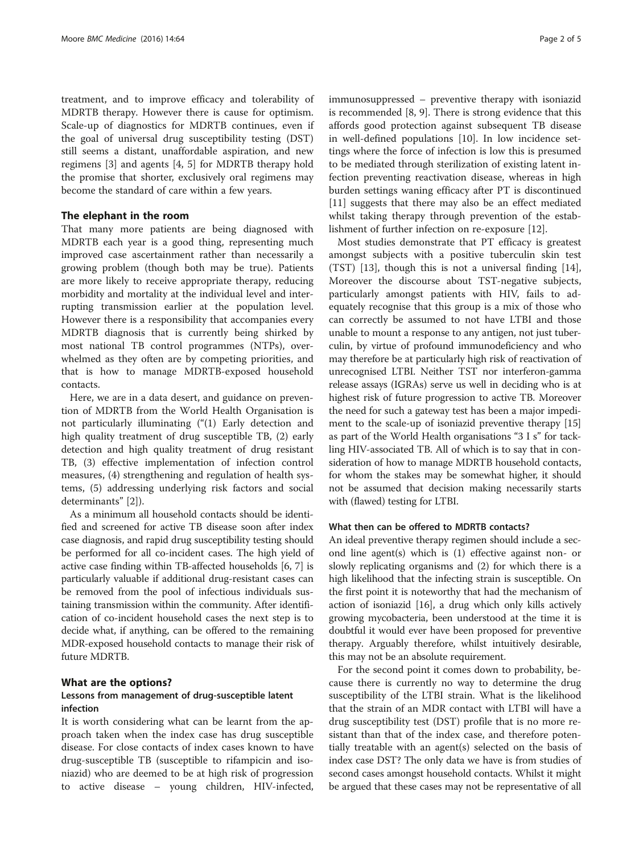treatment, and to improve efficacy and tolerability of MDRTB therapy. However there is cause for optimism. Scale-up of diagnostics for MDRTB continues, even if the goal of universal drug susceptibility testing (DST) still seems a distant, unaffordable aspiration, and new regimens [\[3](#page-4-0)] and agents [\[4](#page-4-0), [5\]](#page-4-0) for MDRTB therapy hold the promise that shorter, exclusively oral regimens may become the standard of care within a few years.

## The elephant in the room

That many more patients are being diagnosed with MDRTB each year is a good thing, representing much improved case ascertainment rather than necessarily a growing problem (though both may be true). Patients are more likely to receive appropriate therapy, reducing morbidity and mortality at the individual level and interrupting transmission earlier at the population level. However there is a responsibility that accompanies every MDRTB diagnosis that is currently being shirked by most national TB control programmes (NTPs), overwhelmed as they often are by competing priorities, and that is how to manage MDRTB-exposed household contacts.

Here, we are in a data desert, and guidance on prevention of MDRTB from the World Health Organisation is not particularly illuminating ("(1) Early detection and high quality treatment of drug susceptible TB, (2) early detection and high quality treatment of drug resistant TB, (3) effective implementation of infection control measures, (4) strengthening and regulation of health systems, (5) addressing underlying risk factors and social determinants" [\[2](#page-4-0)]).

As a minimum all household contacts should be identified and screened for active TB disease soon after index case diagnosis, and rapid drug susceptibility testing should be performed for all co-incident cases. The high yield of active case finding within TB-affected households [\[6](#page-4-0), [7](#page-4-0)] is particularly valuable if additional drug-resistant cases can be removed from the pool of infectious individuals sustaining transmission within the community. After identification of co-incident household cases the next step is to decide what, if anything, can be offered to the remaining MDR-exposed household contacts to manage their risk of future MDRTB.

## What are the options?

# Lessons from management of drug-susceptible latent infection

It is worth considering what can be learnt from the approach taken when the index case has drug susceptible disease. For close contacts of index cases known to have drug-susceptible TB (susceptible to rifampicin and isoniazid) who are deemed to be at high risk of progression to active disease – young children, HIV-infected, immunosuppressed – preventive therapy with isoniazid is recommended [[8, 9](#page-4-0)]. There is strong evidence that this affords good protection against subsequent TB disease in well-defined populations [[10\]](#page-4-0). In low incidence settings where the force of infection is low this is presumed to be mediated through sterilization of existing latent infection preventing reactivation disease, whereas in high burden settings waning efficacy after PT is discontinued [[11\]](#page-4-0) suggests that there may also be an effect mediated whilst taking therapy through prevention of the establishment of further infection on re-exposure [\[12\]](#page-4-0).

Most studies demonstrate that PT efficacy is greatest amongst subjects with a positive tuberculin skin test (TST) [[13\]](#page-4-0), though this is not a universal finding [\[14](#page-4-0)], Moreover the discourse about TST-negative subjects, particularly amongst patients with HIV, fails to adequately recognise that this group is a mix of those who can correctly be assumed to not have LTBI and those unable to mount a response to any antigen, not just tuberculin, by virtue of profound immunodeficiency and who may therefore be at particularly high risk of reactivation of unrecognised LTBI. Neither TST nor interferon-gamma release assays (IGRAs) serve us well in deciding who is at highest risk of future progression to active TB. Moreover the need for such a gateway test has been a major impediment to the scale-up of isoniazid preventive therapy [[15](#page-4-0)] as part of the World Health organisations "3 I s" for tackling HIV-associated TB. All of which is to say that in consideration of how to manage MDRTB household contacts, for whom the stakes may be somewhat higher, it should not be assumed that decision making necessarily starts with (flawed) testing for LTBI.

#### What then can be offered to MDRTB contacts?

An ideal preventive therapy regimen should include a second line agent(s) which is (1) effective against non- or slowly replicating organisms and (2) for which there is a high likelihood that the infecting strain is susceptible. On the first point it is noteworthy that had the mechanism of action of isoniazid [\[16\]](#page-4-0), a drug which only kills actively growing mycobacteria, been understood at the time it is doubtful it would ever have been proposed for preventive therapy. Arguably therefore, whilst intuitively desirable, this may not be an absolute requirement.

For the second point it comes down to probability, because there is currently no way to determine the drug susceptibility of the LTBI strain. What is the likelihood that the strain of an MDR contact with LTBI will have a drug susceptibility test (DST) profile that is no more resistant than that of the index case, and therefore potentially treatable with an agent(s) selected on the basis of index case DST? The only data we have is from studies of second cases amongst household contacts. Whilst it might be argued that these cases may not be representative of all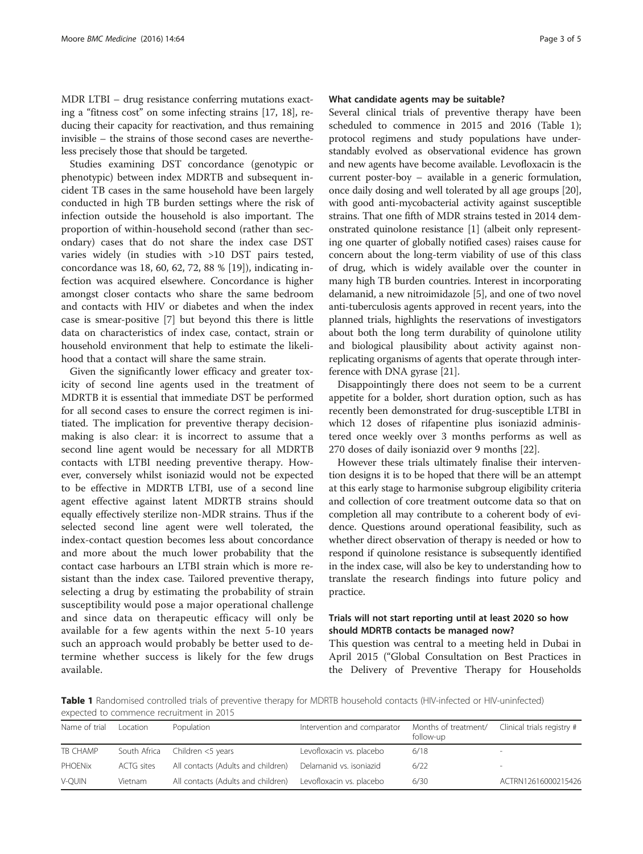MDR LTBI – drug resistance conferring mutations exacting a "fitness cost" on some infecting strains [[17](#page-4-0), [18](#page-4-0)], reducing their capacity for reactivation, and thus remaining invisible – the strains of those second cases are nevertheless precisely those that should be targeted.

Studies examining DST concordance (genotypic or phenotypic) between index MDRTB and subsequent incident TB cases in the same household have been largely conducted in high TB burden settings where the risk of infection outside the household is also important. The proportion of within-household second (rather than secondary) cases that do not share the index case DST varies widely (in studies with >10 DST pairs tested, concordance was 18, 60, 62, 72, 88 % [[19](#page-4-0)]), indicating infection was acquired elsewhere. Concordance is higher amongst closer contacts who share the same bedroom and contacts with HIV or diabetes and when the index case is smear-positive [\[7](#page-4-0)] but beyond this there is little data on characteristics of index case, contact, strain or household environment that help to estimate the likelihood that a contact will share the same strain.

Given the significantly lower efficacy and greater toxicity of second line agents used in the treatment of MDRTB it is essential that immediate DST be performed for all second cases to ensure the correct regimen is initiated. The implication for preventive therapy decisionmaking is also clear: it is incorrect to assume that a second line agent would be necessary for all MDRTB contacts with LTBI needing preventive therapy. However, conversely whilst isoniazid would not be expected to be effective in MDRTB LTBI, use of a second line agent effective against latent MDRTB strains should equally effectively sterilize non-MDR strains. Thus if the selected second line agent were well tolerated, the index-contact question becomes less about concordance and more about the much lower probability that the contact case harbours an LTBI strain which is more resistant than the index case. Tailored preventive therapy, selecting a drug by estimating the probability of strain susceptibility would pose a major operational challenge and since data on therapeutic efficacy will only be available for a few agents within the next 5-10 years such an approach would probably be better used to determine whether success is likely for the few drugs available.

#### What candidate agents may be suitable?

Several clinical trials of preventive therapy have been scheduled to commence in 2015 and 2016 (Table 1); protocol regimens and study populations have understandably evolved as observational evidence has grown and new agents have become available. Levofloxacin is the current poster-boy – available in a generic formulation, once daily dosing and well tolerated by all age groups [[20](#page-4-0)], with good anti-mycobacterial activity against susceptible strains. That one fifth of MDR strains tested in 2014 demonstrated quinolone resistance [\[1](#page-4-0)] (albeit only representing one quarter of globally notified cases) raises cause for concern about the long-term viability of use of this class of drug, which is widely available over the counter in many high TB burden countries. Interest in incorporating delamanid, a new nitroimidazole [\[5\]](#page-4-0), and one of two novel anti-tuberculosis agents approved in recent years, into the planned trials, highlights the reservations of investigators about both the long term durability of quinolone utility and biological plausibility about activity against nonreplicating organisms of agents that operate through interference with DNA gyrase [\[21\]](#page-4-0).

Disappointingly there does not seem to be a current appetite for a bolder, short duration option, such as has recently been demonstrated for drug-susceptible LTBI in which 12 doses of rifapentine plus isoniazid administered once weekly over 3 months performs as well as 270 doses of daily isoniazid over 9 months [\[22\]](#page-4-0).

However these trials ultimately finalise their intervention designs it is to be hoped that there will be an attempt at this early stage to harmonise subgroup eligibility criteria and collection of core treatment outcome data so that on completion all may contribute to a coherent body of evidence. Questions around operational feasibility, such as whether direct observation of therapy is needed or how to respond if quinolone resistance is subsequently identified in the index case, will also be key to understanding how to translate the research findings into future policy and practice.

# Trials will not start reporting until at least 2020 so how should MDRTB contacts be managed now?

This question was central to a meeting held in Dubai in April 2015 ("Global Consultation on Best Practices in the Delivery of Preventive Therapy for Households

Table 1 Randomised controlled trials of preventive therapy for MDRTB household contacts (HIV-infected or HIV-uninfected) expected to commence recruitment in 2015

| Name of trial | Location     | Population                         | Intervention and comparator | Months of treatment/<br>follow-up | Clinical trials registry # |
|---------------|--------------|------------------------------------|-----------------------------|-----------------------------------|----------------------------|
| TB CHAMP      | South Africa | Children <5 years                  | Levofloxacin vs. placebo    | 6/18                              | $\overline{\phantom{a}}$   |
| PHOENix       | ACTG sites   | All contacts (Adults and children) | Delamanid vs. isoniazid     | 6/22                              | $\overline{\phantom{a}}$   |
| V-OUIN        | Vietnam      | All contacts (Adults and children) | Levofloxacin vs. placebo    | 6/30                              | ACTRN12616000215426        |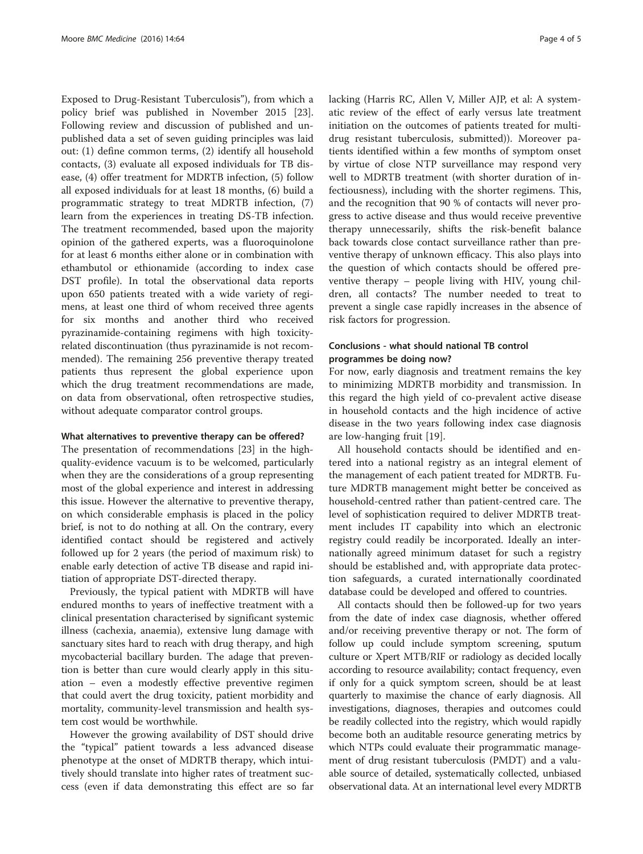Exposed to Drug-Resistant Tuberculosis"), from which a policy brief was published in November 2015 [\[23](#page-4-0)]. Following review and discussion of published and unpublished data a set of seven guiding principles was laid out: (1) define common terms, (2) identify all household contacts, (3) evaluate all exposed individuals for TB disease, (4) offer treatment for MDRTB infection, (5) follow all exposed individuals for at least 18 months, (6) build a programmatic strategy to treat MDRTB infection, (7) learn from the experiences in treating DS-TB infection. The treatment recommended, based upon the majority opinion of the gathered experts, was a fluoroquinolone for at least 6 months either alone or in combination with ethambutol or ethionamide (according to index case DST profile). In total the observational data reports upon 650 patients treated with a wide variety of regimens, at least one third of whom received three agents for six months and another third who received pyrazinamide-containing regimens with high toxicityrelated discontinuation (thus pyrazinamide is not recommended). The remaining 256 preventive therapy treated patients thus represent the global experience upon which the drug treatment recommendations are made, on data from observational, often retrospective studies, without adequate comparator control groups.

#### What alternatives to preventive therapy can be offered?

The presentation of recommendations [[23](#page-4-0)] in the highquality-evidence vacuum is to be welcomed, particularly when they are the considerations of a group representing most of the global experience and interest in addressing this issue. However the alternative to preventive therapy, on which considerable emphasis is placed in the policy brief, is not to do nothing at all. On the contrary, every identified contact should be registered and actively followed up for 2 years (the period of maximum risk) to enable early detection of active TB disease and rapid initiation of appropriate DST-directed therapy.

Previously, the typical patient with MDRTB will have endured months to years of ineffective treatment with a clinical presentation characterised by significant systemic illness (cachexia, anaemia), extensive lung damage with sanctuary sites hard to reach with drug therapy, and high mycobacterial bacillary burden. The adage that prevention is better than cure would clearly apply in this situation – even a modestly effective preventive regimen that could avert the drug toxicity, patient morbidity and mortality, community-level transmission and health system cost would be worthwhile.

However the growing availability of DST should drive the "typical" patient towards a less advanced disease phenotype at the onset of MDRTB therapy, which intuitively should translate into higher rates of treatment success (even if data demonstrating this effect are so far lacking (Harris RC, Allen V, Miller AJP, et al: A systematic review of the effect of early versus late treatment initiation on the outcomes of patients treated for multidrug resistant tuberculosis, submitted)). Moreover patients identified within a few months of symptom onset by virtue of close NTP surveillance may respond very well to MDRTB treatment (with shorter duration of infectiousness), including with the shorter regimens. This, and the recognition that 90 % of contacts will never progress to active disease and thus would receive preventive therapy unnecessarily, shifts the risk-benefit balance back towards close contact surveillance rather than preventive therapy of unknown efficacy. This also plays into the question of which contacts should be offered preventive therapy – people living with HIV, young children, all contacts? The number needed to treat to prevent a single case rapidly increases in the absence of risk factors for progression.

# Conclusions - what should national TB control programmes be doing now?

For now, early diagnosis and treatment remains the key to minimizing MDRTB morbidity and transmission. In this regard the high yield of co-prevalent active disease in household contacts and the high incidence of active disease in the two years following index case diagnosis are low-hanging fruit [\[19](#page-4-0)].

All household contacts should be identified and entered into a national registry as an integral element of the management of each patient treated for MDRTB. Future MDRTB management might better be conceived as household-centred rather than patient-centred care. The level of sophistication required to deliver MDRTB treatment includes IT capability into which an electronic registry could readily be incorporated. Ideally an internationally agreed minimum dataset for such a registry should be established and, with appropriate data protection safeguards, a curated internationally coordinated database could be developed and offered to countries.

All contacts should then be followed-up for two years from the date of index case diagnosis, whether offered and/or receiving preventive therapy or not. The form of follow up could include symptom screening, sputum culture or Xpert MTB/RIF or radiology as decided locally according to resource availability; contact frequency, even if only for a quick symptom screen, should be at least quarterly to maximise the chance of early diagnosis. All investigations, diagnoses, therapies and outcomes could be readily collected into the registry, which would rapidly become both an auditable resource generating metrics by which NTPs could evaluate their programmatic management of drug resistant tuberculosis (PMDT) and a valuable source of detailed, systematically collected, unbiased observational data. At an international level every MDRTB